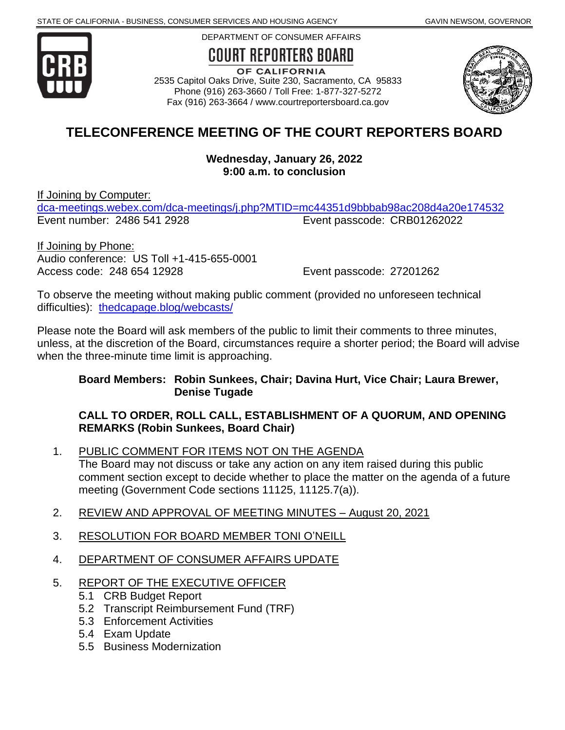

DEPARTMENT OF CONSUMER AFFAIRS

# **COURT REPORTERS BOARD**

OF CALIFORNIA 2535 Capitol Oaks Drive, Suite 230, Sacramento, CA 95833 Phone (916) 263-3660 / Toll Free: 1-877-327-5272 Fax (916) 263-3664 / www.courtreportersboard.ca.gov



# **TELECONFERENCE MEETING OF THE COURT REPORTERS BOARD**

**Wednesday, January 26, 2022 9:00 a.m. to conclusion**

If Joining by Computer:

[dca-meetings.webex.com/dca-meetings/j.php?MTID=mc44351d9bbbab98ac208d4a20e174532](https://dca-meetings.webex.com/dca-meetings/j.php?MTID=mc44351d9bbbab98ac208d4a20e174532) Event number: 2486 541 2928 Event passcode: CRB01262022

If Joining by Phone: Audio conference: US Toll +1-415-655-0001 Access code: 248 654 12928 Event passcode: 27201262

To observe the meeting without making public comment (provided no unforeseen technical difficulties): [thedcapage.blog/webcasts/](https://thedcapage.blog/webcasts/)

Please note the Board will ask members of the public to limit their comments to three minutes, unless, at the discretion of the Board, circumstances require a shorter period; the Board will advise when the three-minute time limit is approaching.

#### **Board Members: Robin Sunkees, Chair; Davina Hurt, Vice Chair; Laura Brewer, Denise Tugade**

#### **CALL TO ORDER, ROLL CALL, ESTABLISHMENT OF A QUORUM, AND OPENING REMARKS (Robin Sunkees, Board Chair)**

- 1. PUBLIC COMMENT FOR ITEMS NOT ON THE AGENDA The Board may not discuss or take any action on any item raised during this public comment section except to decide whether to place the matter on the agenda of a future meeting (Government Code sections 11125, 11125.7(a)).
- 2. REVIEW AND APPROVAL OF MEETING MINUTES August 20, 2021
- 3. RESOLUTION FOR BOARD MEMBER TONI O'NEILL
- 4. DEPARTMENT OF CONSUMER AFFAIRS UPDATE
- 5. REPORT OF THE EXECUTIVE OFFICER
	- 5.1 CRB Budget Report
	- 5.2 Transcript Reimbursement Fund (TRF)
	- 5.3 Enforcement Activities
	- 5.4 Exam Update
	- 5.5 Business Modernization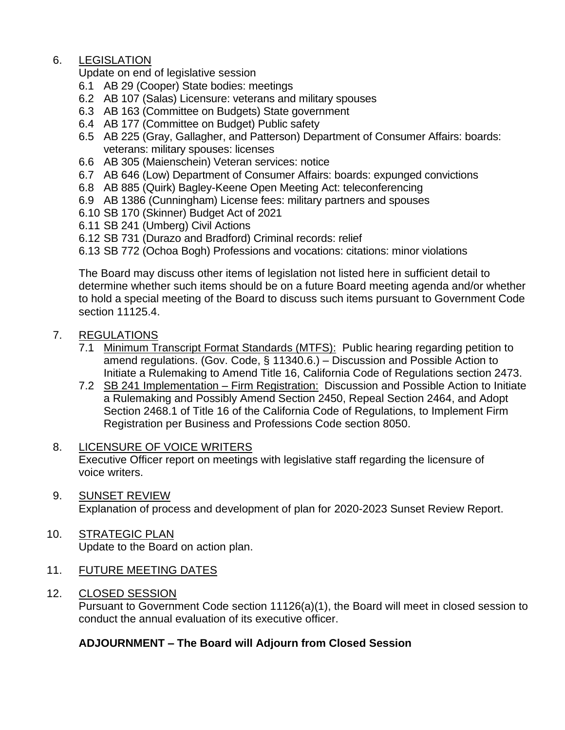# 6. LEGISLATION

Update on end of legislative session

- 6.1 AB 29 (Cooper) State bodies: meetings
- 6.2 AB 107 (Salas) Licensure: veterans and military spouses
- 6.3 AB 163 (Committee on Budgets) State government
- 6.4 AB 177 (Committee on Budget) Public safety
- 6.5 AB 225 (Gray, Gallagher, and Patterson) Department of Consumer Affairs: boards: veterans: military spouses: licenses
- 6.6 AB 305 (Maienschein) Veteran services: notice
- 6.7 AB 646 (Low) Department of Consumer Affairs: boards: expunged convictions
- 6.8 AB 885 (Quirk) Bagley-Keene Open Meeting Act: teleconferencing
- 6.9 AB 1386 (Cunningham) License fees: military partners and spouses
- 6.10 SB 170 (Skinner) Budget Act of 2021
- 6.11 SB 241 (Umberg) Civil Actions
- 6.12 SB 731 (Durazo and Bradford) Criminal records: relief

6.13 SB 772 (Ochoa Bogh) Professions and vocations: citations: minor violations

The Board may discuss other items of legislation not listed here in sufficient detail to determine whether such items should be on a future Board meeting agenda and/or whether to hold a special meeting of the Board to discuss such items pursuant to Government Code section 11125.4.

### 7. REGULATIONS

- 7.1 Minimum Transcript Format Standards (MTFS): Public hearing regarding petition to amend regulations. (Gov. Code, § 11340.6.) – Discussion and Possible Action to Initiate a Rulemaking to Amend Title 16, California Code of Regulations section 2473.
- 7.2 SB 241 Implementation Firm Registration: Discussion and Possible Action to Initiate a Rulemaking and Possibly Amend Section 2450, Repeal Section 2464, and Adopt Section 2468.1 of Title 16 of the California Code of Regulations, to Implement Firm Registration per Business and Professions Code section 8050.
- 8. LICENSURE OF VOICE WRITERS Executive Officer report on meetings with legislative staff regarding the licensure of voice writers.
- 9. SUNSET REVIEW Explanation of process and development of plan for 2020-2023 Sunset Review Report.
- 10. STRATEGIC PLAN Update to the Board on action plan.
- 11. FUTURE MEETING DATES
- 12. CLOSED SESSION

Pursuant to Government Code section 11126(a)(1), the Board will meet in closed session to conduct the annual evaluation of its executive officer.

# **ADJOURNMENT – The Board will Adjourn from Closed Session**